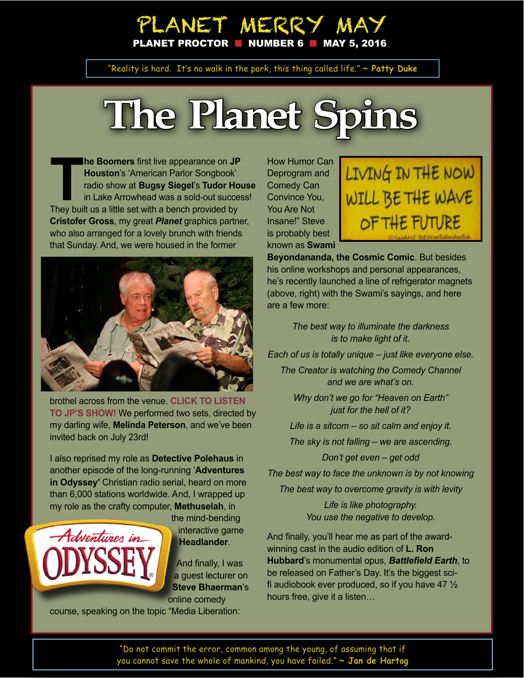## PLANET MERRY MAY ANET PROCTOR  $\blacksquare$  NUMBER 6  $\blacksquare$  MAY 5, 2016

"Reality is hard. It's no walk in the park, this thing called life." **~ Patty Duke**

# **The Planet Spins**

**The Boomers** first live appearance on JP<br> **Thouston's 'American Parlor Songbook'**<br>
radio show at **Bugsy Siegel's Tudor Ho**<br>
in Lake Arrowhead was a sold-out succe<br>
They built us a little set with a bench provided by **he Boomers** first live appearance on **JP Houston**'s 'American Parlor Songbook' radio show at **Bugsy Siegel**'s **Tudor House**  in Lake Arrowhead was a sold-out success! **Cristofer Gross**, my great *Planet* graphics partner, who also arranged for a lovely brunch with friends that Sunday. And, we were housed in the former



brothel across from the venue. **CLICK TO L[ISTEN](https://soundcloud.com/americanparlorsongbook/aps416-generations)  [TO JP'S SHOW!](https://soundcloud.com/americanparlorsongbook/aps416-generations)** We performed two sets, directed by my darling wife, **Melinda Peterson**, and we've been invited back on July 23rd!

I also reprised my role as **Detective Polehaus** in another episode of the long-running '**Adventures in Odyssey'** Christian radio serial, heard on more than 6,000 stations worldwide. And, I wrapped up my role as the crafty computer, **Methuselah**, in



the mind-bending interactive game **Headlander**.

And finally, I was a guest lecturer on **Steve Bhaerman**'s online comedy

course, speaking on the topic "Media Liberation:

How Humor Can Deprogram and Comedy Can Convince You, You Are Not Insane!" Steve is probably best known as **Swami** 



**Beyondananda, the Cosmic Comic**. But besides his online workshops and personal appearances, he's recently launched a line of refrigerator magnets (above, right) with the Swami's sayings, and here are a few more:

> *The best way to illuminate the darkness is to make light of it.*

*Each of us is totally unique – just like everyone else.*

*The Creator is watching the Comedy Channel and we are what's on.*

*Why don't we go for "Heaven on Earth" just for the hell of it?*

*Life is a sitcom – so sit calm and enjoy it.*

*The sky is not falling – we are ascending.*

*Don't get even – get odd*

*The best way to face the unknown is by not knowing*

*The best way to overcome gravity is with levity*

*Life is like photography. You use the negative to develop.*

And finally, you'll hear me as part of the awardwinning cast in the audio edition of **L. Ron Hubbard**'s monumental opus, *Battlefield Earth*, to be released on Father's Day. It's the biggest scifi audiobook ever produced, so if you have 47  $\frac{1}{2}$ hours free, give it a listen…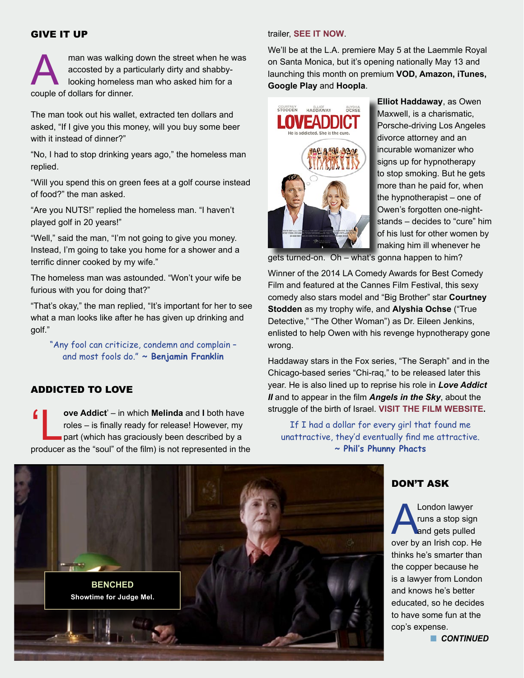#### GIVE IT UP

man was walking down the street when he was accosted by a particularly dirty and shabbylooking homeless man who asked him for a couple of dollars for dinner.

The man took out his wallet, extracted ten dollars and asked, "If I give you this money, will you buy some beer with it instead of dinner?"

"No, I had to stop drinking years ago," the homeless man replied.

"Will you spend this on green fees at a golf course instead of food?" the man asked.

"Are you NUTS!" replied the homeless man. "I haven't played golf in 20 years!"

"Well," said the man, "I'm not going to give you money. Instead, I'm going to take you home for a shower and a terrific dinner cooked by my wife."

The homeless man was astounded. "Won't your wife be furious with you for doing that?"

"That's okay," the man replied, "It's important for her to see what a man looks like after he has given up drinking and golf."

"Any fool can criticize, condemn and complain – and most fools do." **~ Benjamin Franklin** 

#### ADDICTED TO LOVE

**4 ove Addict**' – in which **Melinda** and **I** both have<br>roles – is finally ready for release! However, my<br>part (which has graciously been described by a<br>producer as the "soul" of the film) is not represented in the roles – is finally ready for release! However, my part (which has graciously been described by a producer as the "soul" of the film) is not represented in the

#### trailer, **[SEE IT NOW](http://bit.ly/LoveAddictTrailer)**.

We'll be at the L.A. premiere May 5 at the Laemmle Royal on Santa Monica, but it's opening nationally May 13 and launching this month on premium **VOD, Amazon, iTunes, Google Play** and **Hoopla**.



**Elliot Haddaway**, as Owen Maxwell, is a charismatic, Porsche-driving Los Angeles divorce attorney and an incurable womanizer who signs up for hypnotherapy to stop smoking. But he gets more than he paid for, when the hypnotherapist – one of Owen's forgotten one-nightstands – decides to "cure" him of his lust for other women by making him ill whenever he

gets turned-on. Oh – what's gonna happen to him?

Winner of the 2014 LA Comedy Awards for Best Comedy Film and featured at the Cannes Film Festival, this sexy comedy also stars model and "Big Brother" star **Courtney Stodden** as my trophy wife, and **Alyshia Ochse** ("True Detective," "The Other Woman") as Dr. Eileen Jenkins, enlisted to help Owen with his revenge hypnotherapy gone wrong.

Haddaway stars in the Fox series, "The Seraph" and in the Chicago-based series "Chi-raq," to be released later this year. He is also lined up to reprise his role in *Love Addict II* and to appear in the film *Angels in the Sky*, about the struggle of the birth of Israel. **[VISIT THE FILM WEBSITE.](http://www.loveaddictfilm.com)**

If I had a dollar for every girl that found me unattractive, they'd eventually find me attractive. **~ Phil's Phunny Phacts**



#### DON'T ASK

London lawyer<br>
runs a stop sign<br>
and gets pulled<br>
over by an Irish cop. He runs a stop sign and gets pulled thinks he's smarter than the copper because he is a lawyer from London and knows he's better educated, so he decides to have some fun at the cop's expense.

**n** CONTINUED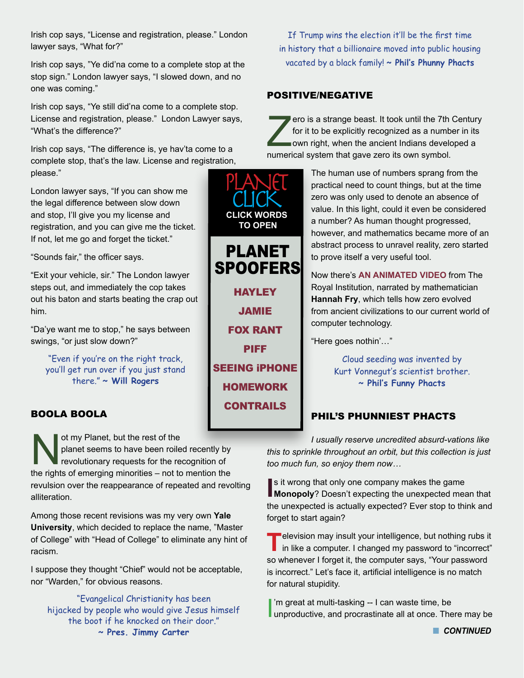Irish cop says, "License and registration, please." London lawyer says, "What for?"

Irish cop says, "Ye did'na come to a complete stop at the stop sign." London lawyer says, "I slowed down, and no one was coming."

Irish cop says, "Ye still did'na come to a complete stop. License and registration, please." London Lawyer says, "What's the difference?"

Irish cop says, "The difference is, ye hav'ta come to a complete stop, that's the law. License and registration, please."

London lawyer says, "If you can show me the legal difference between slow down and stop, I'll give you my license and registration, and you can give me the ticket. If not, let me go and forget the ticket."

"Sounds fair," the officer says.

"Exit your vehicle, sir." The London lawyer steps out, and immediately the cop takes out his baton and starts beating the crap out him.

"Da'ye want me to stop," he says between swings, "or just slow down?"

"Even if you're on the right track, you'll get run over if you just stand there." **~ Will Rogers**

### BOOLA BOOLA

ot my Planet, but the rest of the<br>planet seems to have been roile<br>revolutionary requests for the re<br>the rights of emerging minorities – not to planet seems to have been roiled recently by revolutionary requests for the recognition of the rights of emerging minorities – not to mention the revulsion over the reappearance of repeated and revolting alliteration.

Among those recent revisions was my very own **Yale University**, which decided to replace the name, "Master of College" with "Head of College" to eliminate any hint of racism.

I suppose they thought "Chief" would not be acceptable, nor "Warden," for obvious reasons.

"Evangelical Christianity has been hijacked by people who would give Jesus himself the boot if he knocked on their door." **~ Pres. Jimmy Carter**

**[HAYLEY](https://www.youtube.com/watch?v=ujODcIhGEPU)** [JAMIE](http://www.nerf-herders-anonymous.com/p/alcroft-jamie.html) [FOX RANT](https://www.youtube.com/watch?v=gIcqb9hHQ3E) [PIFF](http://piffthemagicdragon.com/videos/) [SEEING iPHONE](https://www.youtube.com/watch?v=kNyTqIsrk0w) **[HOMEWORK](https://www.youtube.com/watch?v=MGs1-bfiYFQ)** [CONTRAILS](http://thevane.gawker.com/why-i-write-about-and-debunk-the-chemtrail-conspiracy-1581896346) PLANET<br>CLICK **CLICK WORDS TO OPEN** PLANET **SPOOFERS** 

If Trump wins the election it'll be the first time in history that a billionaire moved into public housing vacated by a black family! **~ Phil's Phunny Phacts**

#### POSITIVE/NEGATIVE

ero is a strange beast. It took until the 7th Century for it to be explicitly recognized as a number in its own right, when the ancient Indians developed a numerical system that gave zero its own symbol.

> The human use of numbers sprang from the practical need to count things, but at the time zero was only used to denote an absence of value. In this light, could it even be considered a number? As human thought progressed, however, and mathematics became more of an abstract process to unravel reality, zero started to prove itself a very useful tool.

> Now there's **[AN ANIMATED VIDEO](https://www.youtube.com/watch?v=9Y7gAzTMdMA)** from The Royal Institution, narrated by mathematician **Hannah Fry**, which tells how zero evolved from ancient civilizations to our current world of computer technology.

"Here goes nothin'…"

Cloud seeding was invented by Kurt Vonnegut's scientist brother. **~ Phil's Funny Phacts**

### PHIL'S PHUNNIEST PHACTS

*I usually reserve uncredited absurd-vations like this to sprinkle throughout an orbit, but this collection is just too much fun, so enjoy them now…*

**I** is it wrong that only one company makes the game<br> **Monopoly**? Doesn't expecting the unexpected mean that s it wrong that only one company makes the game the unexpected is actually expected? Ever stop to think and forget to start again?

**T**elevision may insult your intelligence, but nothing rubs it<br>in like a computer. I changed my password to "incorrect" so whenever I forget it, the computer says, "Your password is incorrect." Let's face it, artificial intelligence is no match for natural stupidity.

I'm great at multi-tasking -- I can waste time, be<br>unproductive, and procrastinate all at once. There may be 'm great at multi-tasking -- I can waste time, be

**n** CONTINUED